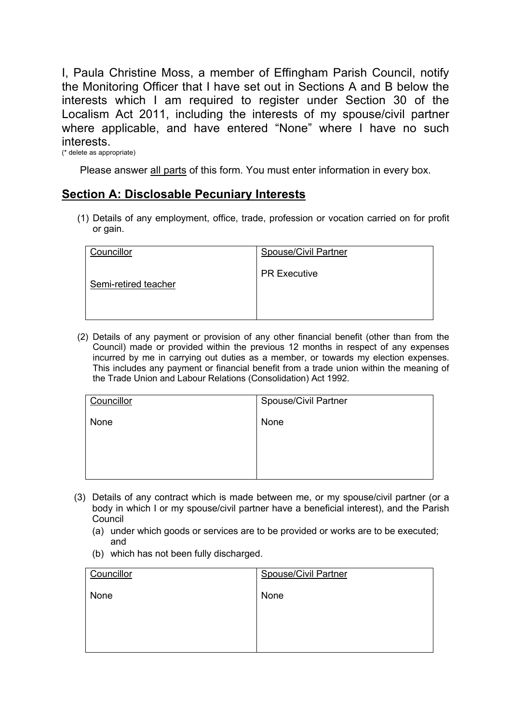I, Paula Christine Moss, a member of Effingham Parish Council, notify the Monitoring Officer that I have set out in Sections A and B below the interests which I am required to register under Section 30 of the Localism Act 2011, including the interests of my spouse/civil partner where applicable, and have entered "None" where I have no such interests. (\* delete as appropriate)

Please answer all parts of this form. You must enter information in every box.

## **Section A: Disclosable Pecuniary Interests**

(1) Details of any employment, office, trade, profession or vocation carried on for profit or gain.

| Councillor           | <b>Spouse/Civil Partner</b> |
|----------------------|-----------------------------|
| Semi-retired teacher | <b>PR Executive</b>         |

(2) Details of any payment or provision of any other financial benefit (other than from the Council) made or provided within the previous 12 months in respect of any expenses incurred by me in carrying out duties as a member, or towards my election expenses. This includes any payment or financial benefit from a trade union within the meaning of the Trade Union and Labour Relations (Consolidation) Act 1992.

| Councillor | <b>Spouse/Civil Partner</b> |
|------------|-----------------------------|
| None       | None                        |
|            |                             |
|            |                             |
|            |                             |

- (3) Details of any contract which is made between me, or my spouse/civil partner (or a body in which I or my spouse/civil partner have a beneficial interest), and the Parish Council
	- (a) under which goods or services are to be provided or works are to be executed; and
	- (b) which has not been fully discharged.

| Councillor | <b>Spouse/Civil Partner</b> |
|------------|-----------------------------|
| None       | None                        |
|            |                             |
|            |                             |
|            |                             |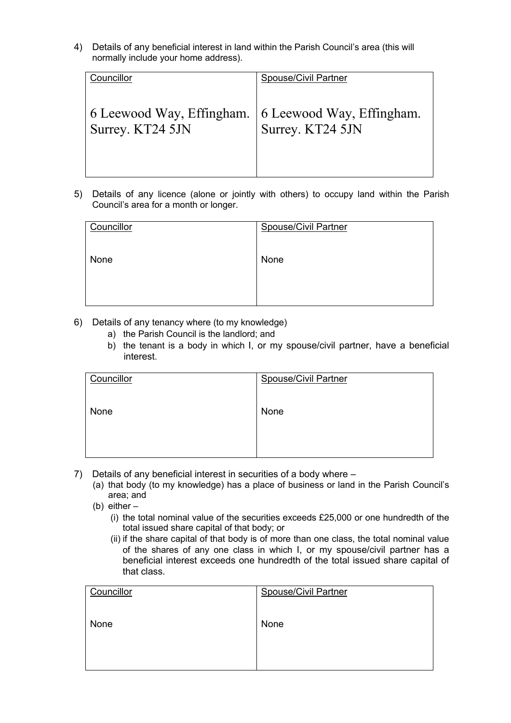4) Details of any beneficial interest in land within the Parish Council's area (this will normally include your home address).

| Councillor                | <b>Spouse/Civil Partner</b> |
|---------------------------|-----------------------------|
| 6 Leewood Way, Effingham. | 6 Leewood Way, Effingham.   |
| Surrey. KT24 5JN          | Surrey. KT24 5JN            |

5) Details of any licence (alone or jointly with others) to occupy land within the Parish Council's area for a month or longer.

| Councillor | <b>Spouse/Civil Partner</b> |
|------------|-----------------------------|
| None       | None                        |
|            |                             |

- 6) Details of any tenancy where (to my knowledge)
	- a) the Parish Council is the landlord; and
	- b) the tenant is a body in which I, or my spouse/civil partner, have a beneficial interest.

| Councillor | <b>Spouse/Civil Partner</b> |
|------------|-----------------------------|
| None       | None                        |
|            |                             |

- 7) Details of any beneficial interest in securities of a body where
	- (a) that body (to my knowledge) has a place of business or land in the Parish Council's area; and
	- (b) either
		- (i) the total nominal value of the securities exceeds £25,000 or one hundredth of the total issued share capital of that body; or
		- (ii) if the share capital of that body is of more than one class, the total nominal value of the shares of any one class in which I, or my spouse/civil partner has a beneficial interest exceeds one hundredth of the total issued share capital of that class.

| Councillor | <b>Spouse/Civil Partner</b> |
|------------|-----------------------------|
| None       | None                        |
|            |                             |
|            |                             |
|            |                             |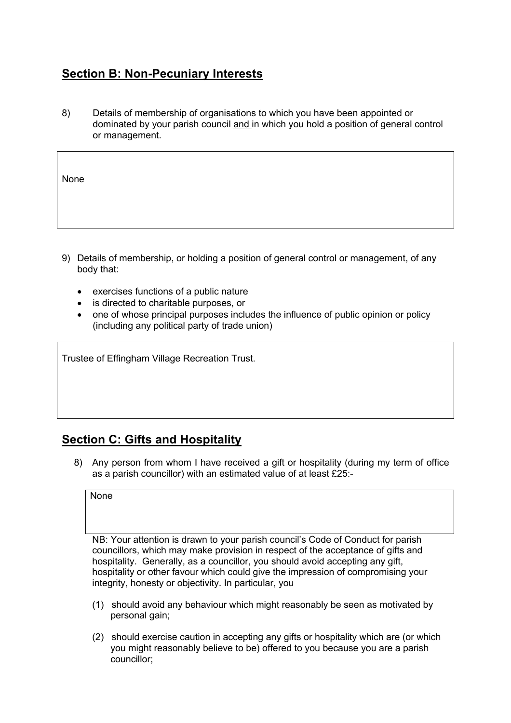## **Section B: Non-Pecuniary Interests**

8) Details of membership of organisations to which you have been appointed or dominated by your parish council and in which you hold a position of general control or management.

| None |  |
|------|--|
|      |  |

- 9) Details of membership, or holding a position of general control or management, of any body that:
	- exercises functions of a public nature
	- is directed to charitable purposes, or
	- one of whose principal purposes includes the influence of public opinion or policy (including any political party of trade union)

Trustee of Effingham Village Recreation Trust.

## **Section C: Gifts and Hospitality**

8) Any person from whom I have received a gift or hospitality (during my term of office as a parish councillor) with an estimated value of at least £25:-

**None** 

NB: Your attention is drawn to your parish council's Code of Conduct for parish councillors, which may make provision in respect of the acceptance of gifts and hospitality. Generally, as a councillor, you should avoid accepting any gift, hospitality or other favour which could give the impression of compromising your integrity, honesty or objectivity. In particular, you

- (1) should avoid any behaviour which might reasonably be seen as motivated by personal gain;
- (2) should exercise caution in accepting any gifts or hospitality which are (or which you might reasonably believe to be) offered to you because you are a parish councillor;